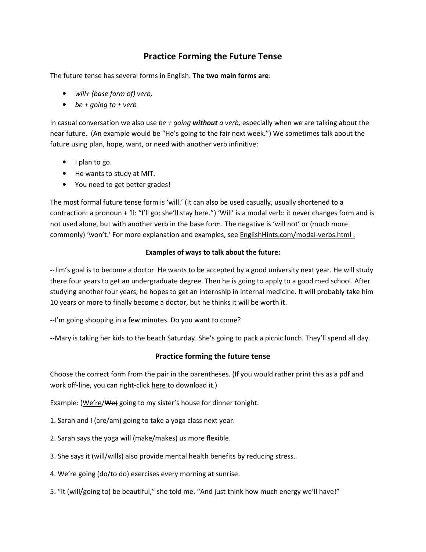## Practice Forming the Future Tense

The future tense has several forms in English. The two main forms are:

- will+ (base form of) verb,
- be + going to + verb

In casual conversation we also use be + going without a verb, especially when we are talking about the near future. (An example would be "He's going to the fair next week.") We sometimes talk about the future using plan, hope, want, or need with another verb infinitive:

- I plan to go.
- He wants to study at MIT.
- You need to get better grades!

The most formal future tense form is 'will.' (It can also be used casually, usually shortened to a contraction: a pronoun + 'll: "I'll go; she'll stay here.") 'Will' is a modal verb: it never changes form and is not used alone, but with another verb in the base form. The negative is 'will not' or (much more commonly) 'won't.' For more explanation and examples, see EnglishHints.com/modal-verbs.html .

## Examples of ways to talk about the future:

--Jim's goal is to become a doctor. He wants to be accepted by a good university next year. He will study there four years to get an undergraduate degree. Then he is going to apply to a good med school. After studying another four years, he hopes to get an internship in internal medicine. It will probably take him 10 years or more to finally become a doctor, but he thinks it will be worth it.

--I'm going shopping in a few minutes. Do you want to come?

--Mary is taking her kids to the beach Saturday. She's going to pack a picnic lunch. They'll spend all day.

## Practice forming the future tense

Choose the correct form from the pair in the parentheses. (If you would rather print this as a pdf and work off-line, you can right-click here to download it.)

Example: (We're/We) going to my sister's house for dinner tonight.

- 1. Sarah and I (are/am) going to take a yoga class next year.
- 2. Sarah says the yoga will (make/makes) us more flexible.
- 3. She says it (will/wills) also provide mental health benefits by reducing stress.
- 4. We're going (do/to do) exercises every morning at sunrise.
- 5. "It (will/going to) be beautiful," she told me. "And just think how much energy we'll have!"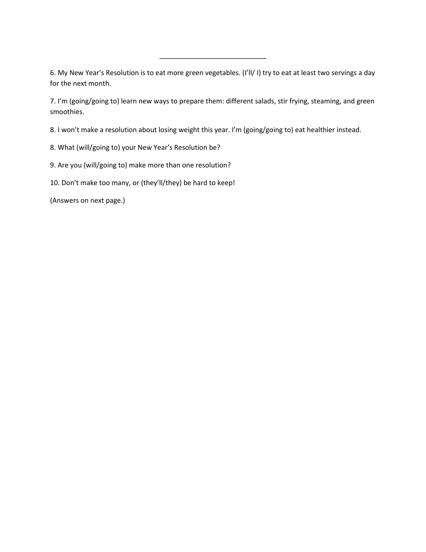6. My New Year's Resolution is to eat more green vegetables. (I'll/ I) try to eat at least two servings a day for the next month.

 $\frac{1}{2}$  ,  $\frac{1}{2}$  ,  $\frac{1}{2}$  ,  $\frac{1}{2}$  ,  $\frac{1}{2}$  ,  $\frac{1}{2}$  ,  $\frac{1}{2}$  ,  $\frac{1}{2}$  ,  $\frac{1}{2}$  ,  $\frac{1}{2}$  ,  $\frac{1}{2}$  ,  $\frac{1}{2}$  ,  $\frac{1}{2}$  ,  $\frac{1}{2}$  ,  $\frac{1}{2}$  ,  $\frac{1}{2}$  ,  $\frac{1}{2}$  ,  $\frac{1}{2}$  ,  $\frac{1$ 

7. I'm (going/going to) learn new ways to prepare them: different salads, stir frying, steaming, and green smoothies.

8. I won't make a resolution about losing weight this year. I'm (going/going to) eat healthier instead.

8. What (will/going to) your New Year's Resolution be?

9. Are you (will/going to) make more than one resolution?

10. Don't make too many, or (they'll/they) be hard to keep!

(Answers on next page.)